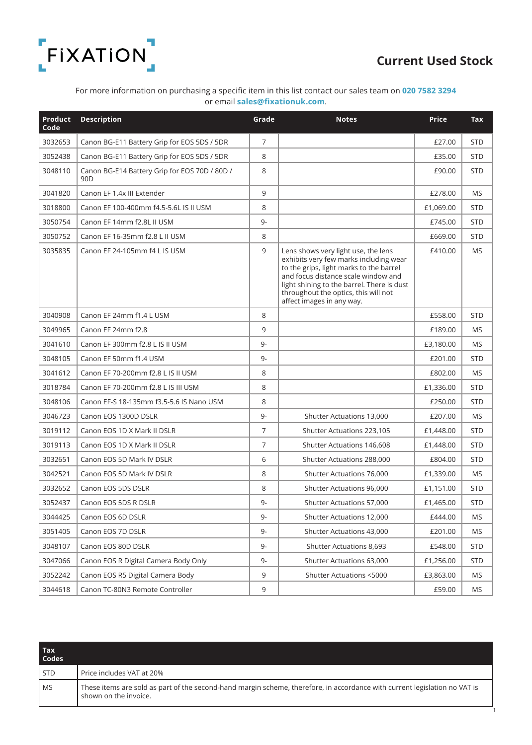

## Current Used Stock

For more information on purchasing a specific item in this list contact our sales team on 020 7582 3294 or email sales@fixationuk.com.

| Product<br>Code | <b>Description</b>                                               | Grade          | <b>Notes</b>                                                                                                                                                                                                                                                                       | <b>Price</b> | <b>Tax</b> |
|-----------------|------------------------------------------------------------------|----------------|------------------------------------------------------------------------------------------------------------------------------------------------------------------------------------------------------------------------------------------------------------------------------------|--------------|------------|
| 3032653         | Canon BG-E11 Battery Grip for EOS 5DS / 5DR                      | $\overline{7}$ |                                                                                                                                                                                                                                                                                    | £27.00       | <b>STD</b> |
| 3052438         | Canon BG-E11 Battery Grip for EOS 5DS / 5DR                      | 8              |                                                                                                                                                                                                                                                                                    | £35.00       | <b>STD</b> |
| 3048110         | Canon BG-E14 Battery Grip for EOS 70D / 80D /<br>90 <sub>D</sub> | 8              |                                                                                                                                                                                                                                                                                    | £90.00       | <b>STD</b> |
| 3041820         | Canon EF 1.4x III Extender                                       | 9              |                                                                                                                                                                                                                                                                                    | £278.00      | <b>MS</b>  |
| 3018800         | Canon EF 100-400mm f4.5-5.6L IS II USM                           | 8              |                                                                                                                                                                                                                                                                                    | £1,069.00    | <b>STD</b> |
| 3050754         | Canon EF 14mm f2.8L II USM                                       | 9-             |                                                                                                                                                                                                                                                                                    | £745.00      | <b>STD</b> |
| 3050752         | Canon EF 16-35mm f2.8 L II USM                                   | 8              |                                                                                                                                                                                                                                                                                    | £669.00      | <b>STD</b> |
| 3035835         | Canon EF 24-105mm f4 L IS USM                                    | 9              | Lens shows very light use, the lens<br>exhibits very few marks including wear<br>to the grips, light marks to the barrel<br>and focus distance scale window and<br>light shining to the barrel. There is dust<br>throughout the optics, this will not<br>affect images in any way. | £410.00      | <b>MS</b>  |
| 3040908         | Canon EF 24mm f1.4 L USM                                         | 8              |                                                                                                                                                                                                                                                                                    | £558.00      | <b>STD</b> |
| 3049965         | Canon EF 24mm f2.8                                               | 9              |                                                                                                                                                                                                                                                                                    | £189.00      | <b>MS</b>  |
| 3041610         | Canon EF 300mm f2.8 L IS II USM                                  | $9-$           |                                                                                                                                                                                                                                                                                    | £3,180.00    | <b>MS</b>  |
| 3048105         | Canon EF 50mm f1.4 USM                                           | 9-             |                                                                                                                                                                                                                                                                                    | £201.00      | <b>STD</b> |
| 3041612         | Canon EF 70-200mm f2.8 L IS II USM                               | 8              |                                                                                                                                                                                                                                                                                    | £802.00      | <b>MS</b>  |
| 3018784         | Canon EF 70-200mm f2.8 L IS III USM                              | 8              |                                                                                                                                                                                                                                                                                    | £1,336.00    | <b>STD</b> |
| 3048106         | Canon EF-S 18-135mm f3.5-5.6 IS Nano USM                         | 8              |                                                                                                                                                                                                                                                                                    | £250.00      | <b>STD</b> |
| 3046723         | Canon EOS 1300D DSLR                                             | $9-$           | Shutter Actuations 13,000                                                                                                                                                                                                                                                          | £207.00      | <b>MS</b>  |
| 3019112         | Canon EOS 1D X Mark II DSLR                                      | $\overline{7}$ | Shutter Actuations 223,105                                                                                                                                                                                                                                                         | £1,448.00    | <b>STD</b> |
| 3019113         | Canon EOS 1D X Mark II DSLR                                      | $\overline{7}$ | Shutter Actuations 146,608                                                                                                                                                                                                                                                         | £1,448.00    | <b>STD</b> |
| 3032651         | Canon EOS 5D Mark IV DSLR                                        | 6              | Shutter Actuations 288,000                                                                                                                                                                                                                                                         | £804.00      | <b>STD</b> |
| 3042521         | Canon EOS 5D Mark IV DSLR                                        | 8              | Shutter Actuations 76,000                                                                                                                                                                                                                                                          | £1,339.00    | <b>MS</b>  |
| 3032652         | Canon EOS 5DS DSLR                                               | 8              | <b>Shutter Actuations 96,000</b>                                                                                                                                                                                                                                                   | £1,151.00    | <b>STD</b> |
| 3052437         | Canon EOS 5DS R DSLR                                             | 9-             | Shutter Actuations 57,000                                                                                                                                                                                                                                                          | £1,465.00    | STD        |
| 3044425         | Canon EOS 6D DSLR                                                | 9-             | Shutter Actuations 12,000                                                                                                                                                                                                                                                          | £444.00      | MS         |
| 3051405         | Canon EOS 7D DSLR                                                | $9-$           | Shutter Actuations 43,000                                                                                                                                                                                                                                                          | £201.00      | MS         |
| 3048107         | Canon EOS 80D DSLR                                               | 9-             | Shutter Actuations 8,693                                                                                                                                                                                                                                                           | £548.00      | <b>STD</b> |
| 3047066         | Canon EOS R Digital Camera Body Only                             | 9-             | Shutter Actuations 63,000                                                                                                                                                                                                                                                          | £1,256.00    | <b>STD</b> |
| 3052242         | Canon EOS R5 Digital Camera Body                                 | 9              | Shutter Actuations <5000                                                                                                                                                                                                                                                           | £3,863.00    | MS         |
| 3044618         | Canon TC-80N3 Remote Controller                                  | 9              |                                                                                                                                                                                                                                                                                    | £59.00       | MS         |

| <b>Tax</b><br><b>Codes</b> |                                                                                                                                                     |
|----------------------------|-----------------------------------------------------------------------------------------------------------------------------------------------------|
| <b>STD</b>                 | Price includes VAT at 20%                                                                                                                           |
| <b>MS</b>                  | These items are sold as part of the second-hand margin scheme, therefore, in accordance with current legislation no VAT is<br>shown on the invoice. |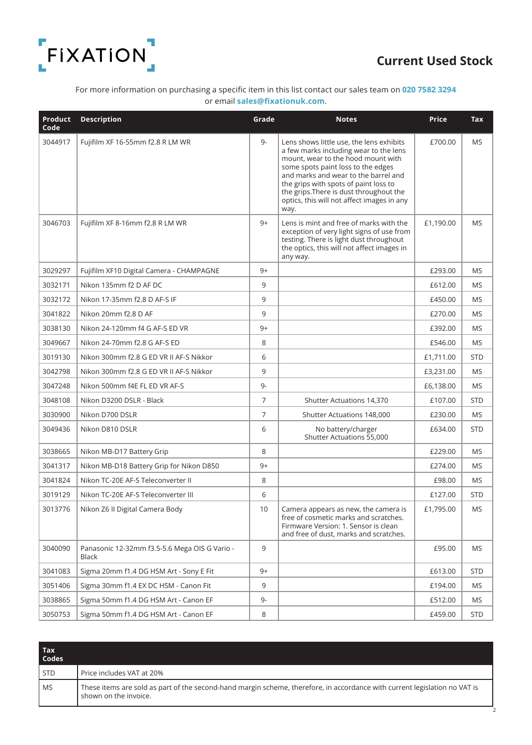

### Current Used Stock

2

### For more information on purchasing a specific item in this list contact our sales team on 020 7582 3294 or email sales@fixationuk.com.

| <b>Product</b><br>Code | <b>Description</b>                                     | Grade | <b>Notes</b>                                                                                                                                                                                                                                                                                                                                     | <b>Price</b> | <b>Tax</b> |
|------------------------|--------------------------------------------------------|-------|--------------------------------------------------------------------------------------------------------------------------------------------------------------------------------------------------------------------------------------------------------------------------------------------------------------------------------------------------|--------------|------------|
| 3044917                | Fujifilm XF 16-55mm f2.8 R LM WR                       | $9-$  | Lens shows little use, the lens exhibits<br>a few marks including wear to the lens<br>mount, wear to the hood mount with<br>some spots paint loss to the edges<br>and marks and wear to the barrel and<br>the grips with spots of paint loss to<br>the grips. There is dust throughout the<br>optics, this will not affect images in any<br>way. | £700.00      | <b>MS</b>  |
| 3046703                | Fujifilm XF 8-16mm f2.8 R LM WR                        | $9+$  | Lens is mint and free of marks with the<br>exception of very light signs of use from<br>testing. There is light dust throughout<br>the optics, this will not affect images in<br>any way.                                                                                                                                                        | £1,190.00    | <b>MS</b>  |
| 3029297                | Fujifilm XF10 Digital Camera - CHAMPAGNE               | 9+    |                                                                                                                                                                                                                                                                                                                                                  | £293.00      | MS         |
| 3032171                | Nikon 135mm f2 D AF DC                                 | 9     |                                                                                                                                                                                                                                                                                                                                                  | £612.00      | <b>MS</b>  |
| 3032172                | Nikon 17-35mm f2.8 D AF-S IF                           | 9     |                                                                                                                                                                                                                                                                                                                                                  | £450.00      | <b>MS</b>  |
| 3041822                | Nikon 20mm f2.8 D AF                                   | 9     |                                                                                                                                                                                                                                                                                                                                                  | £270.00      | <b>MS</b>  |
| 3038130                | Nikon 24-120mm f4 G AF-S ED VR                         | $9+$  |                                                                                                                                                                                                                                                                                                                                                  | £392.00      | <b>MS</b>  |
| 3049667                | Nikon 24-70mm f2.8 G AF-S ED                           | 8     |                                                                                                                                                                                                                                                                                                                                                  | £546.00      | <b>MS</b>  |
| 3019130                | Nikon 300mm f2.8 G ED VR II AF-S Nikkor                | 6     |                                                                                                                                                                                                                                                                                                                                                  | £1,711.00    | <b>STD</b> |
| 3042798                | Nikon 300mm f2.8 G ED VR II AF-S Nikkor                | 9     |                                                                                                                                                                                                                                                                                                                                                  | £3,231.00    | MS         |
| 3047248                | Nikon 500mm f4E FL ED VR AF-S                          | $9-$  |                                                                                                                                                                                                                                                                                                                                                  | £6,138.00    | MS         |
| 3048108                | Nikon D3200 DSLR - Black                               | 7     | Shutter Actuations 14,370                                                                                                                                                                                                                                                                                                                        | £107.00      | <b>STD</b> |
| 3030900                | Nikon D700 DSLR                                        | 7     | Shutter Actuations 148,000                                                                                                                                                                                                                                                                                                                       | £230.00      | <b>MS</b>  |
| 3049436                | Nikon D810 DSLR                                        | 6     | No battery/charger<br>Shutter Actuations 55,000                                                                                                                                                                                                                                                                                                  | £634.00      | <b>STD</b> |
| 3038665                | Nikon MB-D17 Battery Grip                              | 8     |                                                                                                                                                                                                                                                                                                                                                  | £229.00      | <b>MS</b>  |
| 3041317                | Nikon MB-D18 Battery Grip for Nikon D850               | $9+$  |                                                                                                                                                                                                                                                                                                                                                  | £274.00      | <b>MS</b>  |
| 3041824                | Nikon TC-20E AF-S Teleconverter II                     | 8     |                                                                                                                                                                                                                                                                                                                                                  | £98.00       | <b>MS</b>  |
| 3019129                | Nikon TC-20E AF-S Teleconverter III                    | 6     |                                                                                                                                                                                                                                                                                                                                                  | £127.00      | <b>STD</b> |
| 3013776                | Nikon Z6 II Digital Camera Body                        | 10    | Camera appears as new, the camera is<br>free of cosmetic marks and scratches.<br>Firmware Version: 1. Sensor is clean<br>and free of dust, marks and scratches.                                                                                                                                                                                  | £1,795.00    | <b>MS</b>  |
| 3040090                | Panasonic 12-32mm f3.5-5.6 Mega OIS G Vario -<br>Black | 9     |                                                                                                                                                                                                                                                                                                                                                  | £95.00       | <b>MS</b>  |
| 3041083                | Sigma 20mm f1.4 DG HSM Art - Sony E Fit                | $9+$  |                                                                                                                                                                                                                                                                                                                                                  | £613.00      | <b>STD</b> |
| 3051406                | Sigma 30mm f1.4 EX DC HSM - Canon Fit                  | 9     |                                                                                                                                                                                                                                                                                                                                                  | £194.00      | MS         |
| 3038865                | Sigma 50mm f1.4 DG HSM Art - Canon EF                  | $9-$  |                                                                                                                                                                                                                                                                                                                                                  | £512.00      | MS         |
| 3050753                | Sigma 50mm f1.4 DG HSM Art - Canon EF                  | 8     |                                                                                                                                                                                                                                                                                                                                                  | £459.00      | <b>STD</b> |

| <b>Tax</b><br><b>Codes</b> |                                                                                                                                                     |
|----------------------------|-----------------------------------------------------------------------------------------------------------------------------------------------------|
| <b>STD</b>                 | Price includes VAT at 20%                                                                                                                           |
| <b>MS</b>                  | These items are sold as part of the second-hand margin scheme, therefore, in accordance with current legislation no VAT is<br>shown on the invoice. |